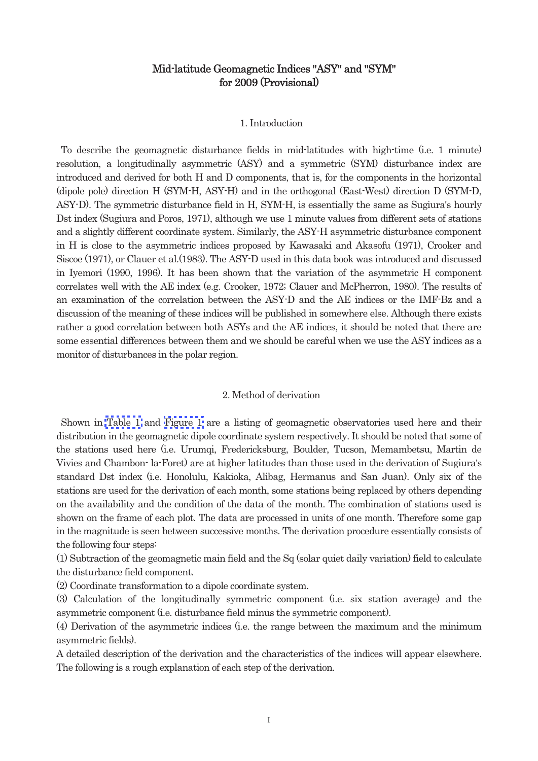# Mid-latitude Geomagnetic Indices "ASY" and "SYM" for 200 (Provisional)

### 1. Introduction

To describe the geomagnetic disturbance fields in mid-latitudes with high-time (i.e. 1 minute) resolution, a longitudinally asymmetric (ASY) and a symmetric (SYM) disturbance index are introduced and derived for both H and D components, that is, for the components in the horizontal (dipole pole) direction H (SYM-H, ASY-H) and in the orthogonal (East-West) direction D (SYM-D, ASY-D). The symmetric disturbance field in H, SYM-H, is essentially the same as Sugiura's hourly Dst index (Sugiura and Poros, 1971), although we use 1 minute values from different sets of stations and a slightly different coordinate system. Similarly, the ASY-H asymmetric disturbance component in H is close to the asymmetric indices proposed by Kawasaki and Akasofu (1971), Crooker and Siscoe (1971), or Clauer et al.(1983). The ASY-D used in this data book was introduced and discussed in Iyemori (1990, 1996). It has been shown that the variation of the asymmetric H component correlates well with the AE index (e.g. Crooker, 1972; Clauer and McPherron, 1980). The results of an examination of the correlation between the ASY-D and the AE indices or the IMF-Bz and a discussion of the meaning of these indices will be published in somewhere else. Although there exists rather a good correlation between both ASYs and the AE indices, it should be noted that there are some essential differences between them and we should be careful when we use the ASY indices as a monitor of disturbances in the polar region.

## 2. Method of derivation

Shown in [Table 1](#page-1-0) and [Figure 1](#page-1-0) are a listing of geomagnetic observatories used here and their distribution in the geomagnetic dipole coordinate system respectively. It should be noted that some of the stations used here (i.e. Urumqi, Fredericksburg, Boulder, Tucson, Memambetsu, Martin de Vivies and Chambon- la-Foret) are at higher latitudes than those used in the derivation of Sugiura's standard Dst index (i.e. Honolulu, Kakioka, Alibag, Hermanus and San Juan). Only six of the stations are used for the derivation of each month, some stations being replaced by others depending on the availability and the condition of the data of the month. The combination of stations used is shown on the frame of each plot. The data are processed in units of one month. Therefore some gap in the magnitude is seen between successive months. The derivation procedure essentially consists of the following four steps:

(1) Subtraction of the geomagnetic main field and the Sq (solar quiet daily variation) field to calculate the disturbance field component.

(2) Coordinate transformation to a dipole coordinate system.

(3) Calculation of the longitudinally symmetric component (i.e. six station average) and the asymmetric component (i.e. disturbance field minus the symmetric component).

(4) Derivation of the asymmetric indices (i.e. the range between the maximum and the minimum asymmetric fields).

A detailed description of the derivation and the characteristics of the indices will appear elsewhere. The following is a rough explanation of each step of the derivation.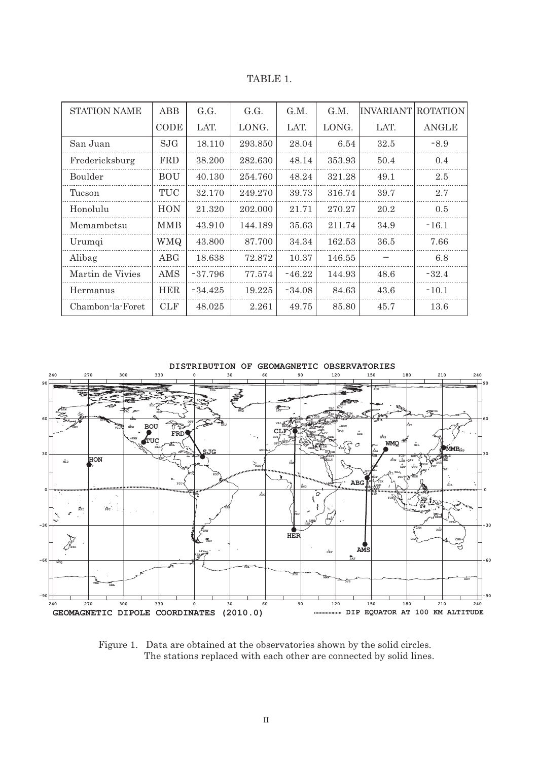TABLE 1.

<span id="page-1-0"></span>

| <b>STATION NAME</b> | <b>ABB</b>  | G.G.      | G.G.    | G.M.     | G.M.   | IINVARIANT ROTATION |         |
|---------------------|-------------|-----------|---------|----------|--------|---------------------|---------|
|                     | <b>CODE</b> | LAT.      | LONG.   | LAT.     | LONG.  | LAT.                | ANGLE   |
| San Juan            | <b>SJG</b>  | 18.110    | 293.850 | 28.04    | 6.54   | 32.5                | $-8.9$  |
| Fredericksburg      | <b>FRD</b>  | 38.200    | 282.630 | 48.14    | 353.93 | 50.4                | 0.4     |
| <b>Boulder</b>      | <b>BOU</b>  | 40.130    | 254.760 | 48.24    | 321.28 | 49.1                | 2.5     |
| Tucson              | TUC         | 32.170    | 249.270 | 39.73    | 316.74 | 39.7                | 2.7     |
| Honolulu            | <b>HON</b>  | 21.320    | 202.000 | 21.71    | 270.27 | 20.2                | 0.5     |
| Memambetsu          | <b>MMB</b>  | 43.910    | 144.189 | 35.63    | 211.74 | 34.9                | $-16.1$ |
| Urumqi              | WMQ.        | 43.800    | 87.700  | 34.34    | 162.53 | 36.5                | 7.66    |
| Alibag              | $\rm{ABG}$  | 18.638    | 72.872  | 10.37    | 146.55 |                     | 6.8     |
| Martin de Vivies    | AMS         | $-37.796$ | 77.574  | $-46.22$ | 144.93 | 48.6                | $-32.4$ |
| Hermanus            | <b>HER</b>  | $-34.425$ | 19.225  | $-34.08$ | 84.63  | 43.6                | $-10.1$ |
| Chambon-la-Foret    | <b>CLF</b>  | 48.025    | 2.261   | 49.75    | 85.80  | 45.7                | 13.6    |



Figure 1. Data are obtained at the observatories shown by the solid circles. The stations replaced with each other are connected by solid lines.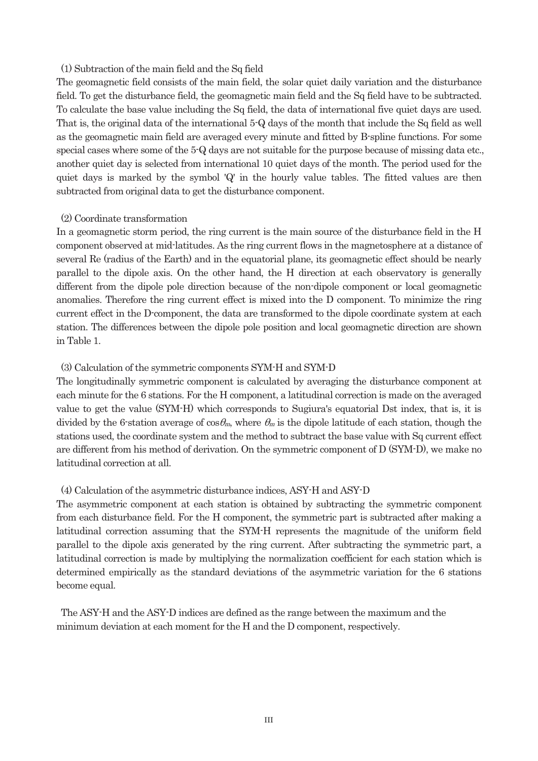## (1) Subtraction of the main field and the Sq field

The geomagnetic field consists of the main field, the solar quiet daily variation and the disturbance field. To get the disturbance field, the geomagnetic main field and the Sq field have to be subtracted. To calculate the base value including the Sq field, the data of international five quiet days are used. That is, the original data of the international 5-Q days of the month that include the Sq field as well as the geomagnetic main field are averaged every minute and fitted by B-spline functions. For some special cases where some of the 5-Q days are not suitable for the purpose because of missing data etc., another quiet day is selected from international 10 quiet days of the month. The period used for the quiet days is marked by the symbol 'Q' in the hourly value tables. The fitted values are then subtracted from original data to get the disturbance component.

## (2) Coordinate transformation

In a geomagnetic storm period, the ring current is the main source of the disturbance field in the H component observed at mid-latitudes. As the ring current flows in the magnetosphere at a distance of several Re (radius of the Earth) and in the equatorial plane, its geomagnetic effect should be nearly parallel to the dipole axis. On the other hand, the H direction at each observatory is generally different from the dipole pole direction because of the non-dipole component or local geomagnetic anomalies. Therefore the ring current effect is mixed into the D component. To minimize the ring current effect in the D-component, the data are transformed to the dipole coordinate system at each station. The differences between the dipole pole position and local geomagnetic direction are shown in Table 1.

# (3) Calculation of the symmetric components SYM-H and SYM-D

The longitudinally symmetric component is calculated by averaging the disturbance component at each minute for the 6 stations. For the H component, a latitudinal correction is made on the averaged value to get the value (SYM-H) which corresponds to Sugiura's equatorial Dst index, that is, it is divided by the 6-station average of  $\cos\theta_m$ , where  $\theta_m$  is the dipole latitude of each station, though the stations used, the coordinate system and the method to subtract the base value with Sq current effect are different from his method of derivation. On the symmetric component of D (SYM-D), we make no latitudinal correction at all.

# (4) Calculation of the asymmetric disturbance indices, ASY-H and ASY-D

The asymmetric component at each station is obtained by subtracting the symmetric component from each disturbance field. For the H component, the symmetric part is subtracted after making a latitudinal correction assuming that the SYM-H represents the magnitude of the uniform field parallel to the dipole axis generated by the ring current. After subtracting the symmetric part, a latitudinal correction is made by multiplying the normalization coefficient for each station which is determined empirically as the standard deviations of the asymmetric variation for the 6 stations become equal.

The ASY-H and the ASY-D indices are defined as the range between the maximum and the minimum deviation at each moment for the H and the D component, respectively.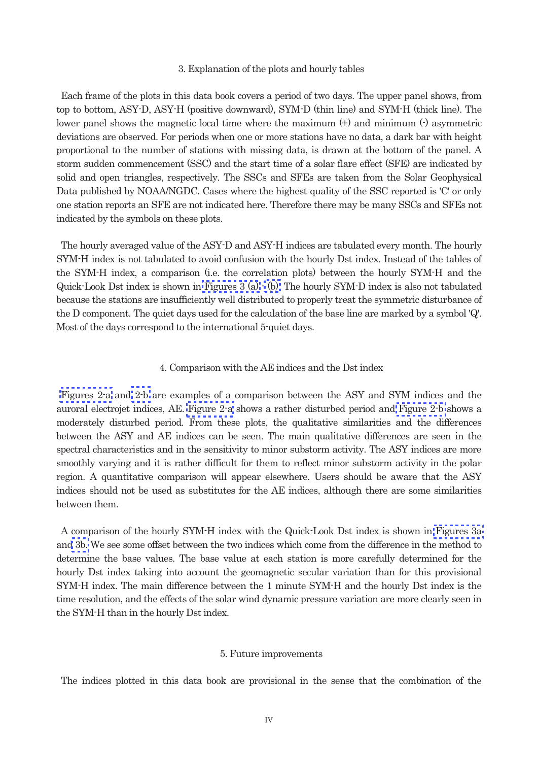#### 3. Explanation of the plots and hourly tables

Each frame of the plots in this data book covers a period of two days. The upper panel shows, from top to bottom, ASY-D, ASY-H (positive downward), SYM-D (thin line) and SYM-H (thick line). The lower panel shows the magnetic local time where the maximum (+) and minimum (-) asymmetric deviations are observed. For periods when one or more stations have no data, a dark bar with height proportional to the number of stations with missing data, is drawn at the bottom of the panel. A storm sudden commencement (SSC) and the start time of a solar flare effect (SFE) are indicated by solid and open triangles, respectively. The SSCs and SFEs are taken from the Solar Geophysical Data published by NOAA/NGDC. Cases where the highest quality of the SSC reported is 'C' or only one station reports an SFE are not indicated here. Therefore there may be many SSCs and SFEs not indicated by the symbols on these plots.

The hourly averaged value of the ASY-D and ASY-H indices are tabulated every month. The hourly SYM-H index is not tabulated to avoid confusion with the hourly Dst index. Instead of the tables of the SYM-H index, a comparison (i.e. the correlation plots) between the hourly SYM-H and the Quick-Look Dst index is shown in [Figures 3 \(a\)](#page-6-0)  $\cdot$  (b). The hourly SYM-D index is also not tabulated because the stations are insufficiently well distributed to properly treat the symmetric disturbance of the D component. The quiet days used for the calculation of the base line are marked by a symbol 'Q'. Most of the days correspond to the international 5-quiet days.

#### 4. Comparison with the AE indices and the Dst index

[Figures 2-a](#page-4-0) and [2-b](#page-5-0) are examples of a comparison between the ASY and SYM indices and the auroral electrojet indices, AE. [Figure 2-a](#page-4-0) shows a rather disturbed period and [Figure 2-b](#page-5-0) shows a moderately disturbed period. From these plots, the qualitative similarities and the differences between the ASY and AE indices can be seen. The main qualitative differences are seen in the spectral characteristics and in the sensitivity to minor substorm activity. The ASY indices are more smoothly varying and it is rather difficult for them to reflect minor substorm activity in the polar region. A quantitative comparison will appear elsewhere. Users should be aware that the ASY indices should not be used as substitutes for the AE indices, although there are some similarities between them.

A comparison of the hourly SYM-H index with the Quick-Look Dst index is shown in [Figures 3a](#page-6-0)  an[d 3b.](#page-7-0) We see some offset between the two indices which come from the difference in the method to determine the base values. The base value at each station is more carefully determined for the hourly Dst index taking into account the geomagnetic secular variation than for this provisional SYM-H index. The main difference between the 1 minute SYM-H and the hourly Dst index is the time resolution, and the effects of the solar wind dynamic pressure variation are more clearly seen in the SYM-H than in the hourly Dst index.

#### 5. Future improvements

The indices plotted in this data book are provisional in the sense that the combination of the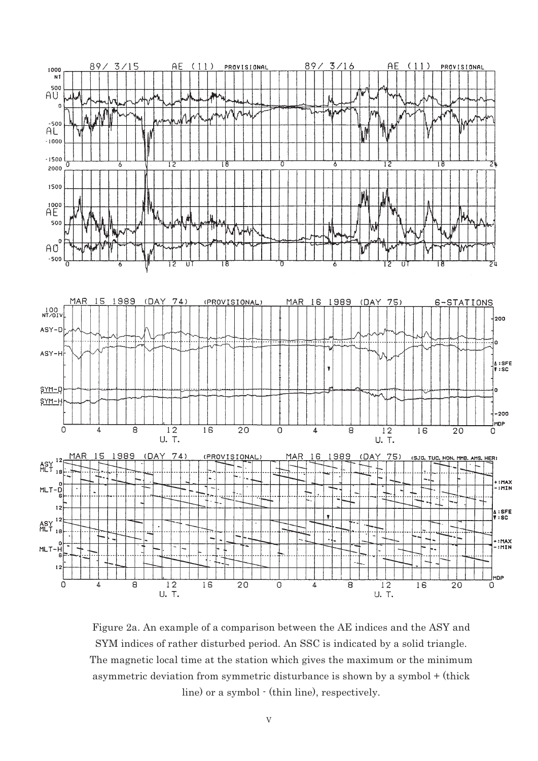<span id="page-4-0"></span>

Figure 2a. An example of a comparison between the AE indices and the ASY and SYM indices of rather disturbed period. An SSC is indicated by a solid triangle. The magnetic local time at the station which gives the maximum or the minimum asymmetric deviation from symmetric disturbance is shown by a symbol + (thick line) or a symbol - (thin line), respectively.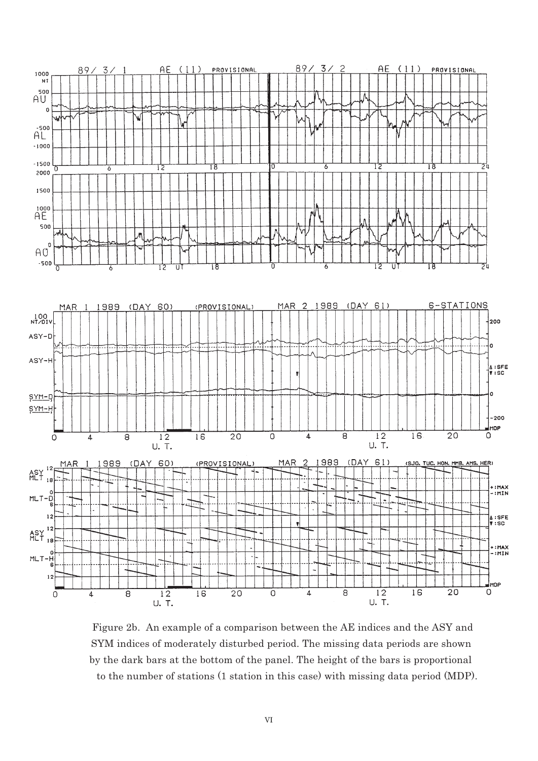<span id="page-5-0"></span>

Figure 2b. An example of a comparison between the AE indices and the ASY and SYM indices of moderately disturbed period. The missing data periods are shown by the dark bars at the bottom of the panel. The height of the bars is proportional to the number of stations (1 station in this case) with missing data period (MDP).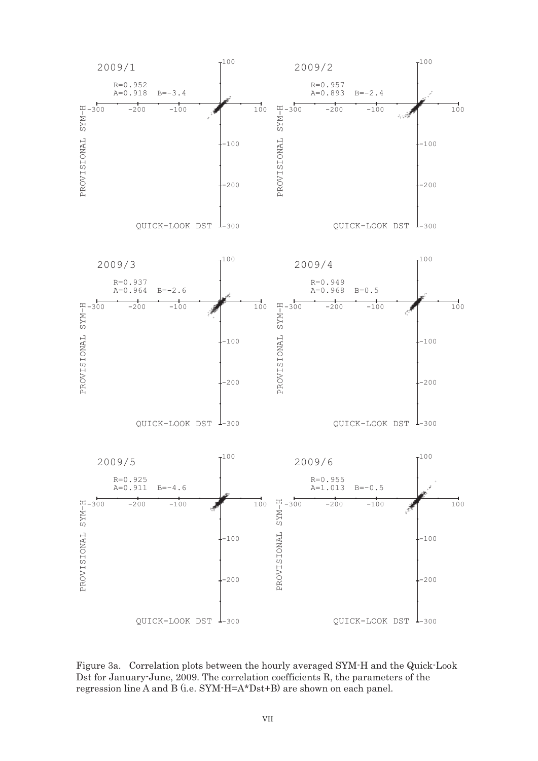<span id="page-6-0"></span>

Figure 3a. Correlation plots between the hourly averaged SYM-H and the Quick-Look Dst for January-June, 2009. The correlation coefficients R, the parameters of the regression line A and B (i.e. SYM-H=A\*Dst+B) are shown on each panel.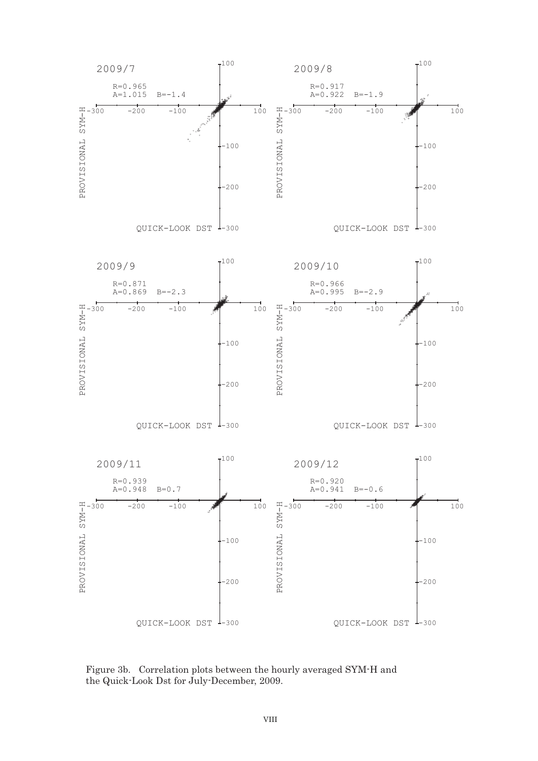<span id="page-7-0"></span>

Figure 3b. Correlation plots between the hourly averaged SYM-H and the Quick-Look Dst for July-December, 2009.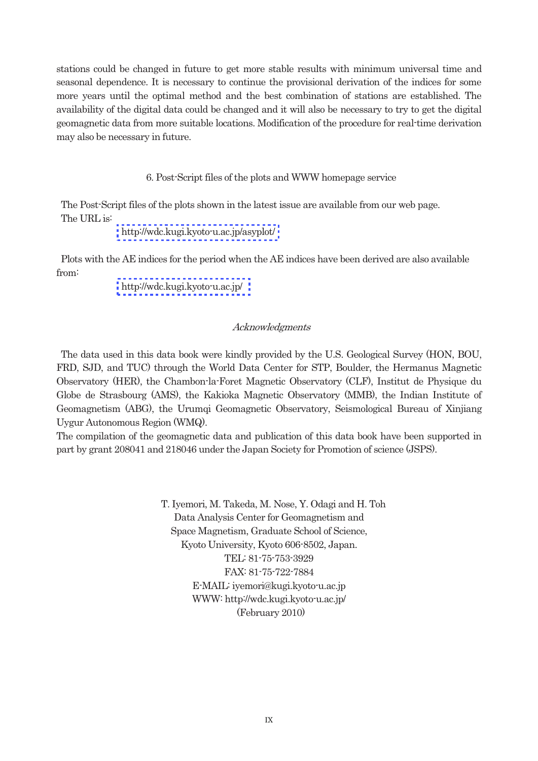stations could be changed in future to get more stable results with minimum universal time and seasonal dependence. It is necessary to continue the provisional derivation of the indices for some more years until the optimal method and the best combination of stations are established. The availability of the digital data could be changed and it will also be necessary to try to get the digital geomagnetic data from more suitable locations. Modification of the procedure for real-time derivation may also be necessary in future.

6. Post-Script files of the plots and WWW homepage service

The Post-Script files of the plots shown in the latest issue are available from our web page. The URL is:

<http://wdc.kugi.kyoto-u.ac.jp/asyplot/>

Plots with the AE indices for the period when the AE indices have been derived are also available from:

[http://wdc.kugi.kyoto-u.ac.jp/](http://wdc.kugi.kyoto-u.ac.jp/aedir/)

# Acknowledgments

The data used in this data book were kindly provided by the U.S. Geological Survey (HON, BOU, FRD, SJD, and TUC) through the World Data Center for STP, Boulder, the Hermanus Magnetic Observatory (HER), the Chambon-la-Foret Magnetic Observatory (CLF), Institut de Physique du Globe de Strasbourg (AMS), the Kakioka Magnetic Observatory (MMB), the Indian Institute of Geomagnetism (ABG), the Urumqi Geomagnetic Observatory, Seismological Bureau of Xinjiang Uygur Autonomous Region (WMQ).

The compilation of the geomagnetic data and publication of this data book have been supported in part by grant 208041 and 218046 under the Japan Society for Promotion of science (JSPS).

> T. Iyemori, M. Takeda, M. Nose, Y. Odagi and H. Toh Data Analysis Center for Geomagnetism and Space Magnetism, Graduate School of Science, Kyoto University, Kyoto 606-8502, Japan. TEL: 81-75-753-3929 FAX: 81-75-722-7884 E-MAIL: iyemori@kugi.kyoto-u.ac.jp WWW: http://wdc.kugi.kyoto-u.ac.jp/ (February 2010)